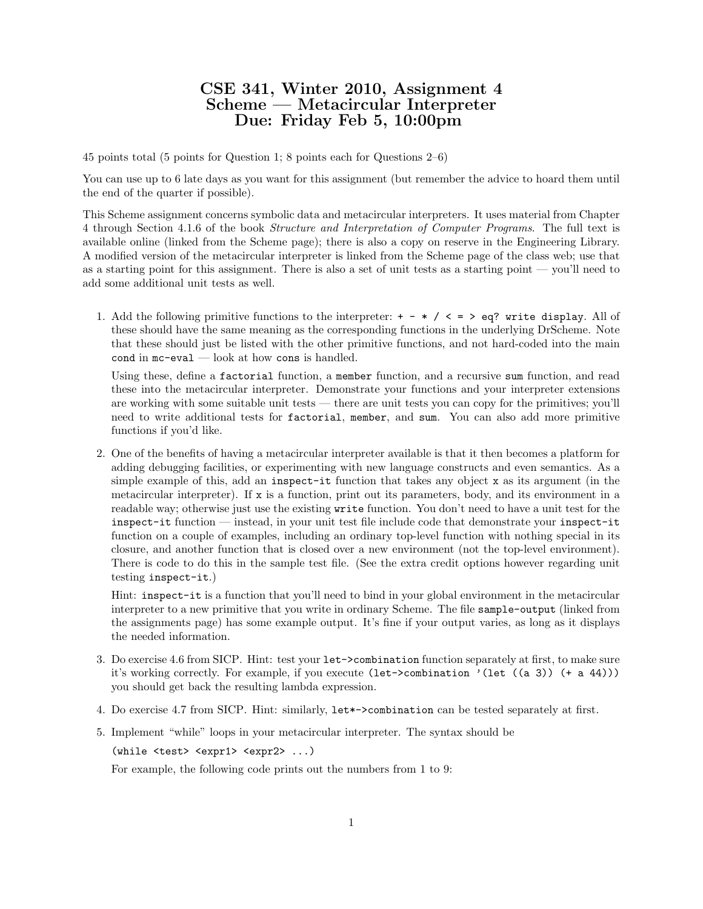## CSE 341, Winter 2010, Assignment 4 Scheme — Metacircular Interpreter Due: Friday Feb 5, 10:00pm

45 points total (5 points for Question 1; 8 points each for Questions 2–6)

You can use up to 6 late days as you want for this assignment (but remember the advice to hoard them until the end of the quarter if possible).

This Scheme assignment concerns symbolic data and metacircular interpreters. It uses material from Chapter 4 through Section 4.1.6 of the book Structure and Interpretation of Computer Programs. The full text is available online (linked from the Scheme page); there is also a copy on reserve in the Engineering Library. A modified version of the metacircular interpreter is linked from the Scheme page of the class web; use that as a starting point for this assignment. There is also a set of unit tests as a starting point — you'll need to add some additional unit tests as well.

1. Add the following primitive functions to the interpreter:  $+ - * / < = > eq$ ? write display. All of these should have the same meaning as the corresponding functions in the underlying DrScheme. Note that these should just be listed with the other primitive functions, and not hard-coded into the main cond in mc-eval — look at how cons is handled.

Using these, define a factorial function, a member function, and a recursive sum function, and read these into the metacircular interpreter. Demonstrate your functions and your interpreter extensions are working with some suitable unit tests — there are unit tests you can copy for the primitives; you'll need to write additional tests for factorial, member, and sum. You can also add more primitive functions if you'd like.

2. One of the benefits of having a metacircular interpreter available is that it then becomes a platform for adding debugging facilities, or experimenting with new language constructs and even semantics. As a simple example of this, add an inspect-it function that takes any object x as its argument (in the metacircular interpreter). If x is a function, print out its parameters, body, and its environment in a readable way; otherwise just use the existing write function. You don't need to have a unit test for the inspect-it function — instead, in your unit test file include code that demonstrate your inspect-it function on a couple of examples, including an ordinary top-level function with nothing special in its closure, and another function that is closed over a new environment (not the top-level environment). There is code to do this in the sample test file. (See the extra credit options however regarding unit testing inspect-it.)

Hint: inspect-it is a function that you'll need to bind in your global environment in the metacircular interpreter to a new primitive that you write in ordinary Scheme. The file sample-output (linked from the assignments page) has some example output. It's fine if your output varies, as long as it displays the needed information.

- 3. Do exercise 4.6 from SICP. Hint: test your let->combination function separately at first, to make sure it's working correctly. For example, if you execute (let->combination '(let ((a 3)) (+ a 44))) you should get back the resulting lambda expression.
- 4. Do exercise 4.7 from SICP. Hint: similarly, let\*->combination can be tested separately at first.
- 5. Implement "while" loops in your metacircular interpreter. The syntax should be

(while <test> <expr1> <expr2> ...)

For example, the following code prints out the numbers from 1 to 9: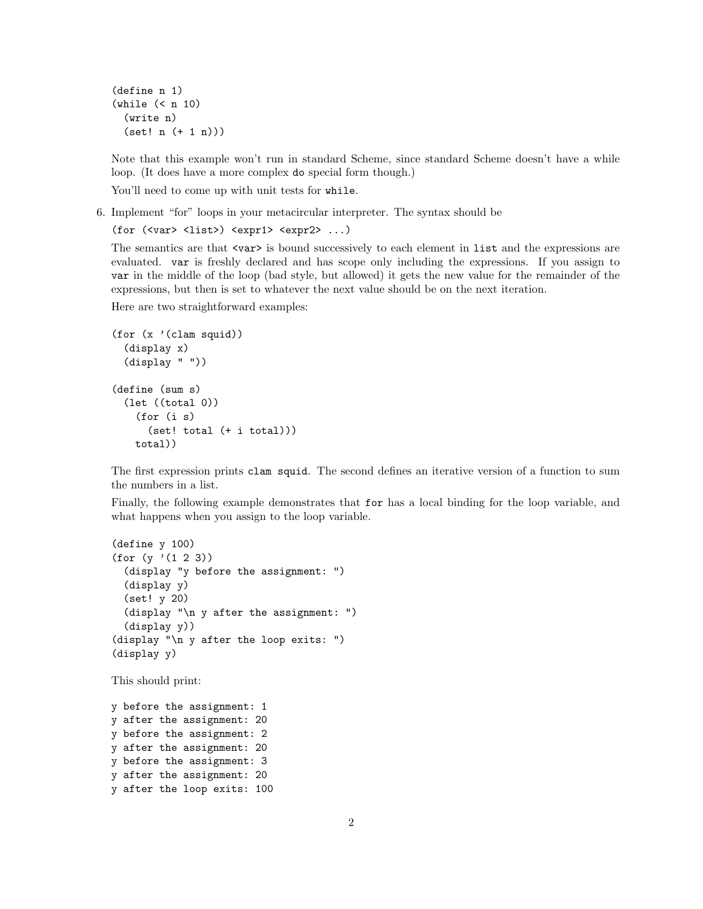(define n 1) (while (< n 10) (write n) (set! n (+ 1 n)))

Note that this example won't run in standard Scheme, since standard Scheme doesn't have a while loop. (It does have a more complex do special form though.)

You'll need to come up with unit tests for while.

6. Implement "for" loops in your metacircular interpreter. The syntax should be

```
(for (\text{var} > \text{list}) \text{expr1} > \text{expr2} > ...)
```
The semantics are that  $\langle \text{var} \rangle$  is bound successively to each element in list and the expressions are evaluated. var is freshly declared and has scope only including the expressions. If you assign to var in the middle of the loop (bad style, but allowed) it gets the new value for the remainder of the expressions, but then is set to whatever the next value should be on the next iteration.

Here are two straightforward examples:

```
(for (x '(clam squid))
 (display x)
 (display " "))
(define (sum s)
 (let ((total 0))
    (for (i s)
      (set! total (+ i total)))
   total))
```
The first expression prints clam squid. The second defines an iterative version of a function to sum the numbers in a list.

Finally, the following example demonstrates that for has a local binding for the loop variable, and what happens when you assign to the loop variable.

```
(define y 100)
(for (y '(1 2 3))
 (display "y before the assignment: ")
 (display y)
 (set! y 20)
 (display "\n y after the assignment: ")
  (display y))
(display "\n y after the loop exits: ")
(display y)
```
This should print:

y before the assignment: 1 y after the assignment: 20 y before the assignment: 2 y after the assignment: 20 y before the assignment: 3 y after the assignment: 20 y after the loop exits: 100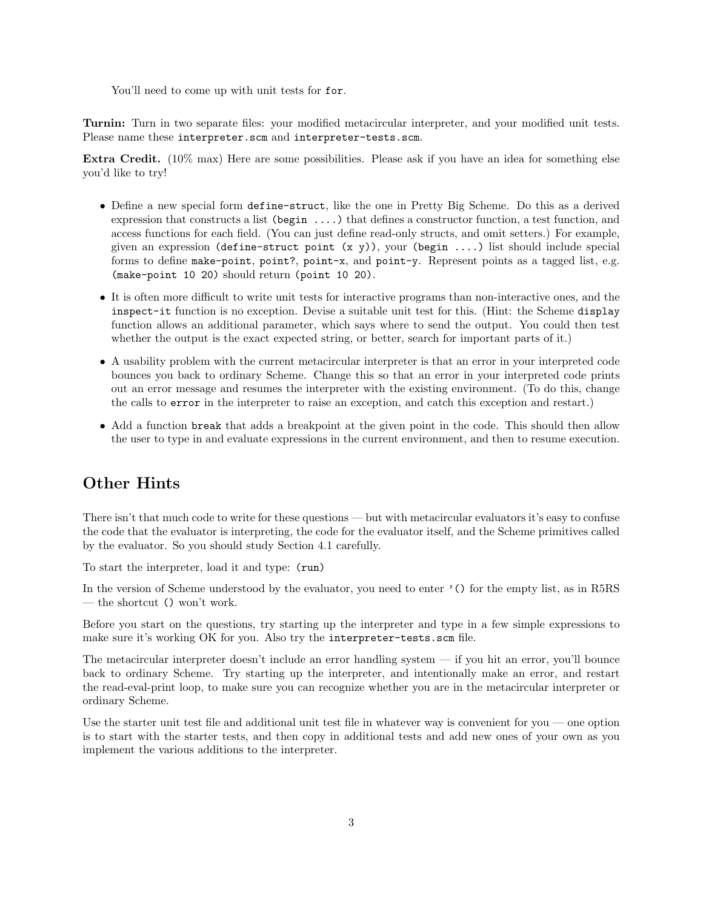You'll need to come up with unit tests for for.

Turnin: Turn in two separate files: your modified metacircular interpreter, and your modified unit tests. Please name these interpreter.scm and interpreter-tests.scm.

Extra Credit. (10% max) Here are some possibilities. Please ask if you have an idea for something else you'd like to try!

- Define a new special form define-struct, like the one in Pretty Big Scheme. Do this as a derived expression that constructs a list (begin ....) that defines a constructor function, a test function, and access functions for each field. (You can just define read-only structs, and omit setters.) For example, given an expression (define-struct point  $(x, y)$ ), your (begin ....) list should include special forms to define make-point, point?, point-x, and point-y. Represent points as a tagged list, e.g. (make-point 10 20) should return (point 10 20).
- It is often more difficult to write unit tests for interactive programs than non-interactive ones, and the inspect-it function is no exception. Devise a suitable unit test for this. (Hint: the Scheme display function allows an additional parameter, which says where to send the output. You could then test whether the output is the exact expected string, or better, search for important parts of it.)
- A usability problem with the current metacircular interpreter is that an error in your interpreted code bounces you back to ordinary Scheme. Change this so that an error in your interpreted code prints out an error message and resumes the interpreter with the existing environment. (To do this, change the calls to error in the interpreter to raise an exception, and catch this exception and restart.)
- Add a function break that adds a breakpoint at the given point in the code. This should then allow the user to type in and evaluate expressions in the current environment, and then to resume execution.

## Other Hints

There isn't that much code to write for these questions — but with metacircular evaluators it's easy to confuse the code that the evaluator is interpreting, the code for the evaluator itself, and the Scheme primitives called by the evaluator. So you should study Section 4.1 carefully.

To start the interpreter, load it and type: (run)

In the version of Scheme understood by the evaluator, you need to enter '() for the empty list, as in R5RS — the shortcut () won't work.

Before you start on the questions, try starting up the interpreter and type in a few simple expressions to make sure it's working OK for you. Also try the interpreter-tests.scm file.

The metacircular interpreter doesn't include an error handling system — if you hit an error, you'll bounce back to ordinary Scheme. Try starting up the interpreter, and intentionally make an error, and restart the read-eval-print loop, to make sure you can recognize whether you are in the metacircular interpreter or ordinary Scheme.

Use the starter unit test file and additional unit test file in whatever way is convenient for you — one option is to start with the starter tests, and then copy in additional tests and add new ones of your own as you implement the various additions to the interpreter.